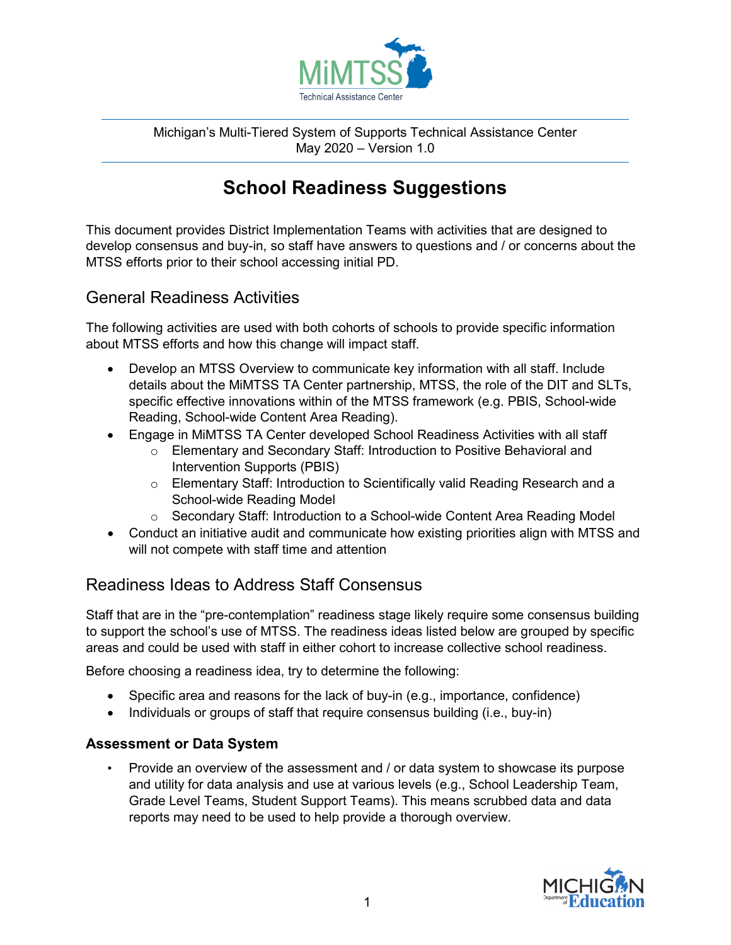

Michigan's Multi-Tiered System of Supports Technical Assistance Center May 2020 – Version 1.0

# **School Readiness Suggestions**

This document provides District Implementation Teams with activities that are designed to develop consensus and buy-in, so staff have answers to questions and / or concerns about the MTSS efforts prior to their school accessing initial PD.

## General Readiness Activities

The following activities are used with both cohorts of schools to provide specific information about MTSS efforts and how this change will impact staff.

- Develop an MTSS Overview to communicate key information with all staff. Include details about the MiMTSS TA Center partnership, MTSS, the role of the DIT and SLTs, specific effective innovations within of the MTSS framework (e.g. PBIS, School-wide Reading, School-wide Content Area Reading).
- Engage in MiMTSS TA Center developed School Readiness Activities with all staff
	- o Elementary and Secondary Staff: Introduction to Positive Behavioral and Intervention Supports (PBIS)
	- o Elementary Staff: Introduction to Scientifically valid Reading Research and a School-wide Reading Model
	- o Secondary Staff: Introduction to a School-wide Content Area Reading Model
- Conduct an initiative audit and communicate how existing priorities align with MTSS and will not compete with staff time and attention

# Readiness Ideas to Address Staff Consensus

Staff that are in the "pre-contemplation" readiness stage likely require some consensus building to support the school's use of MTSS. The readiness ideas listed below are grouped by specific areas and could be used with staff in either cohort to increase collective school readiness.

Before choosing a readiness idea, try to determine the following:

- Specific area and reasons for the lack of buy-in (e.g., importance, confidence)
- Individuals or groups of staff that require consensus building (i.e., buy-in)

#### **Assessment or Data System**

• Provide an overview of the assessment and / or data system to showcase its purpose and utility for data analysis and use at various levels (e.g., School Leadership Team, Grade Level Teams, Student Support Teams). This means scrubbed data and data reports may need to be used to help provide a thorough overview.

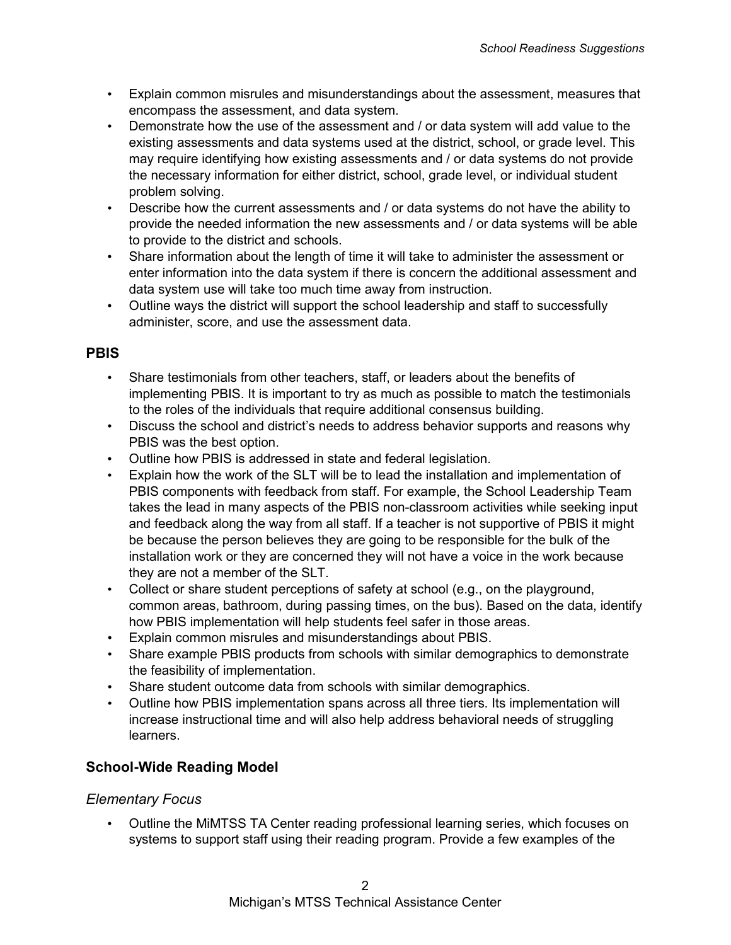- Explain common misrules and misunderstandings about the assessment, measures that encompass the assessment, and data system.
- Demonstrate how the use of the assessment and / or data system will add value to the existing assessments and data systems used at the district, school, or grade level. This may require identifying how existing assessments and / or data systems do not provide the necessary information for either district, school, grade level, or individual student problem solving.
- Describe how the current assessments and / or data systems do not have the ability to provide the needed information the new assessments and / or data systems will be able to provide to the district and schools.
- Share information about the length of time it will take to administer the assessment or enter information into the data system if there is concern the additional assessment and data system use will take too much time away from instruction.
- Outline ways the district will support the school leadership and staff to successfully administer, score, and use the assessment data.

#### **PBIS**

- Share testimonials from other teachers, staff, or leaders about the benefits of implementing PBIS. It is important to try as much as possible to match the testimonials to the roles of the individuals that require additional consensus building.
- Discuss the school and district's needs to address behavior supports and reasons why PBIS was the best option.
- Outline how PBIS is addressed in state and federal legislation.
- Explain how the work of the SLT will be to lead the installation and implementation of PBIS components with feedback from staff. For example, the School Leadership Team takes the lead in many aspects of the PBIS non-classroom activities while seeking input and feedback along the way from all staff. If a teacher is not supportive of PBIS it might be because the person believes they are going to be responsible for the bulk of the installation work or they are concerned they will not have a voice in the work because they are not a member of the SLT.
- Collect or share student perceptions of safety at school (e.g., on the playground, common areas, bathroom, during passing times, on the bus). Based on the data, identify how PBIS implementation will help students feel safer in those areas.
- Explain common misrules and misunderstandings about PBIS.
- Share example PBIS products from schools with similar demographics to demonstrate the feasibility of implementation.
- Share student outcome data from schools with similar demographics.
- Outline how PBIS implementation spans across all three tiers. Its implementation will increase instructional time and will also help address behavioral needs of struggling learners.

## **School-Wide Reading Model**

#### *Elementary Focus*

• Outline the MiMTSS TA Center reading professional learning series, which focuses on systems to support staff using their reading program. Provide a few examples of the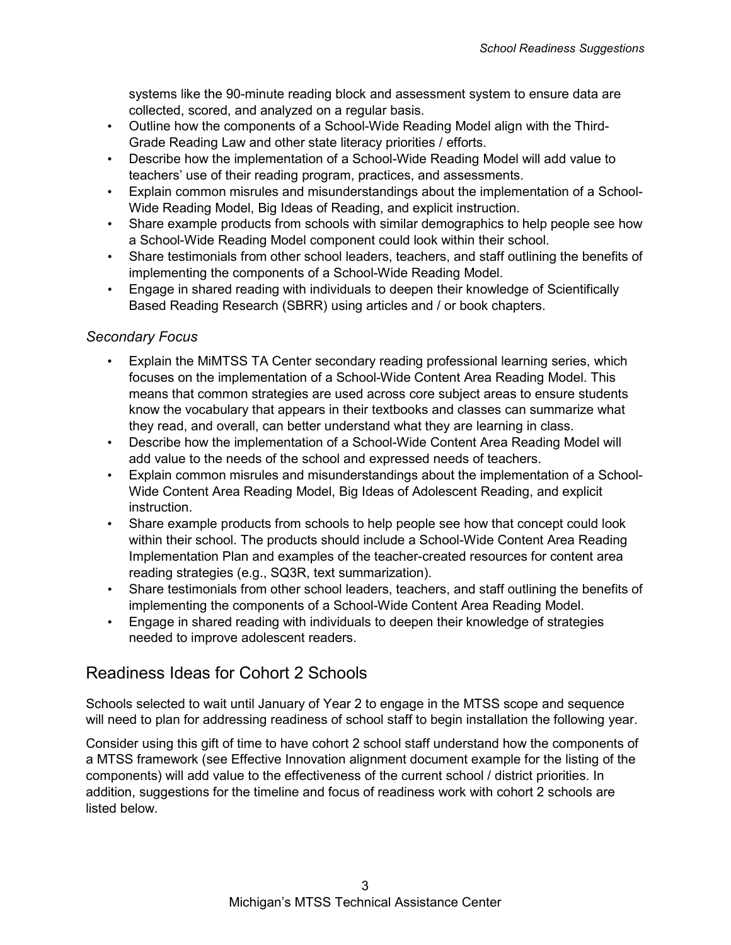systems like the 90-minute reading block and assessment system to ensure data are collected, scored, and analyzed on a regular basis.

- Outline how the components of a School-Wide Reading Model align with the Third-Grade Reading Law and other state literacy priorities / efforts.
- Describe how the implementation of a School-Wide Reading Model will add value to teachers' use of their reading program, practices, and assessments.
- Explain common misrules and misunderstandings about the implementation of a School-Wide Reading Model, Big Ideas of Reading, and explicit instruction.
- Share example products from schools with similar demographics to help people see how a School-Wide Reading Model component could look within their school.
- Share testimonials from other school leaders, teachers, and staff outlining the benefits of implementing the components of a School-Wide Reading Model.
- Engage in shared reading with individuals to deepen their knowledge of Scientifically Based Reading Research (SBRR) using articles and / or book chapters.

## *Secondary Focus*

- Explain the MiMTSS TA Center secondary reading professional learning series, which focuses on the implementation of a School-Wide Content Area Reading Model. This means that common strategies are used across core subject areas to ensure students know the vocabulary that appears in their textbooks and classes can summarize what they read, and overall, can better understand what they are learning in class.
- Describe how the implementation of a School-Wide Content Area Reading Model will add value to the needs of the school and expressed needs of teachers.
- Explain common misrules and misunderstandings about the implementation of a School-Wide Content Area Reading Model, Big Ideas of Adolescent Reading, and explicit instruction.
- Share example products from schools to help people see how that concept could look within their school. The products should include a School-Wide Content Area Reading Implementation Plan and examples of the teacher-created resources for content area reading strategies (e.g., SQ3R, text summarization).
- Share testimonials from other school leaders, teachers, and staff outlining the benefits of implementing the components of a School-Wide Content Area Reading Model.
- Engage in shared reading with individuals to deepen their knowledge of strategies needed to improve adolescent readers.

# Readiness Ideas for Cohort 2 Schools

Schools selected to wait until January of Year 2 to engage in the MTSS scope and sequence will need to plan for addressing readiness of school staff to begin installation the following year.

Consider using this gift of time to have cohort 2 school staff understand how the components of a MTSS framework (see Effective Innovation alignment document example for the listing of the components) will add value to the effectiveness of the current school / district priorities. In addition, suggestions for the timeline and focus of readiness work with cohort 2 schools are listed below.